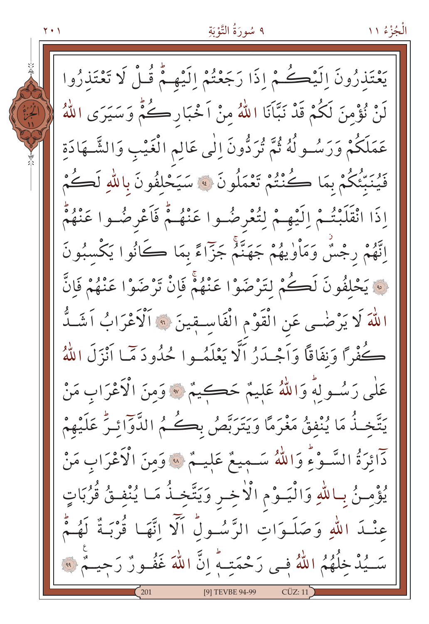٩ سُورَةُ التَّوْبَةِ

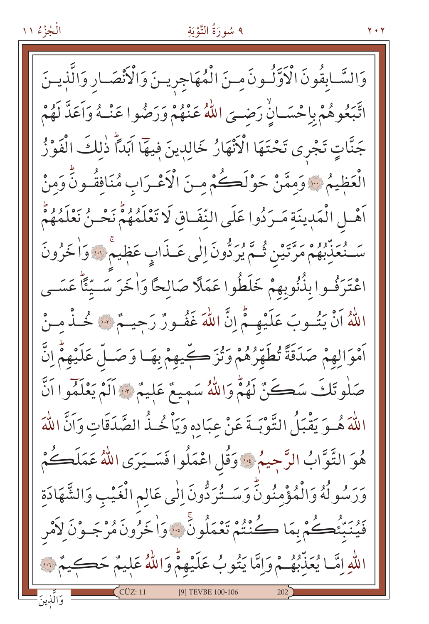### ٩ سُورَةُ التَّوْبَةِ

 $Y \cdot Y$ 

وَالسَّـابِقُونَ الْأَوَّلُـونَ مِـنَ الْمُهَاجِرِيـنَ وَالْأَنْصَـارِ وَالَّذِيـنَ اتَّبَعُوهُمْ بِإِحْسَـانٍٰ رَضِـيَ اللَّهُ عَنْهُمْ وَرَضُوا عَنْــهُ وَاَعَدَّ لَهُمْ جَنَّاتٍ تَجْرِي تَحْتَهَا الْأَنْهَارُ خَالِدِينَ فِيهَا آبَداً ذٰلِكَ الْفَوْزُ الْعَظِيمُ ۚ وَممَّنْ حَوْلَكُمْ منَ الْأَعْـرَابِ مُنَافِقُـونَّ وَمنْ أَهْـلِ الْمَدِينَةِ مَـرَدُوا عَلَى النِّفَـاقِ لَا تَعْلَمُهُمْ نَحْـنُ نَعْلَمُهُمْ سَنْعَذِّبُهُمْ مَرَّتَيْنِ ثُمَّ يُرَدُّونَ إِلٰى عَـذَابٍ عَظِيمٌ ۚ وَاٰ خَرُونَ اعْتَرَفُوا بِذُّنُوبِهِمْ خَلَطُوا عَمَلًا صَالِحًا وَاٰخَرَ سَــيِّئًا عَسَــى اللَّهُ أَنْ يَتُوبَ عَلَيْهِـمُّ إِنَّ اللَّهَ غَفُـورٌ رَجِيـمٌ ﴾ مُحذَّ مِـنْ أَمْوَالِهِمْ صَدَقَةً تُطَهِّرُهُمْ وَتُزَكِّيهِمْ بِهَـا وَصَـلِّ عَلَيْهِمُّ اِنَّ صَلْوِتَكَ سَكَنٌ لَهُمُّ وَاللَّهُ سَمِيعٌ عَلِيمٌ -: أَلَمْ يَعْلَمُوا أَنَّ اللَّهَ هُـوَ يَقْبَلُ التَّوْبَـةَ عَنْ عِبَادِهِ وَيَاْ خُـذُ الصَّدَقَاتِ وَاَنَّ اللَّهَ هُوَ التَّوَّابُ الرَّجِيمُ ۚ وَقُلِ اعْمَلُوا فَسَـيَرَى اللَّهُ عَمَلَكُمْ وَرَسُولُهُ وَالْمُؤْمِنُونَ وَسَــتُرَدُّونَ اِلٰى عَالِمِ الْغَيْبِ وَالشَّهَادَةِ فَيُنَبِّئُكُمْ بِمَا كُنْتُمْ تَعْمَلُونَ ۞ وَاخَرُونَ مُرْجَـوْنَ لَاَمْرِ اللّهِ إِمَّا يُعَذِّبُهُمْ وَإِمَّا يَتُوبُ عَلَيْهِمْ وَاللّهُ عَلِيمٌ حَكِيمٌ لِلّهِ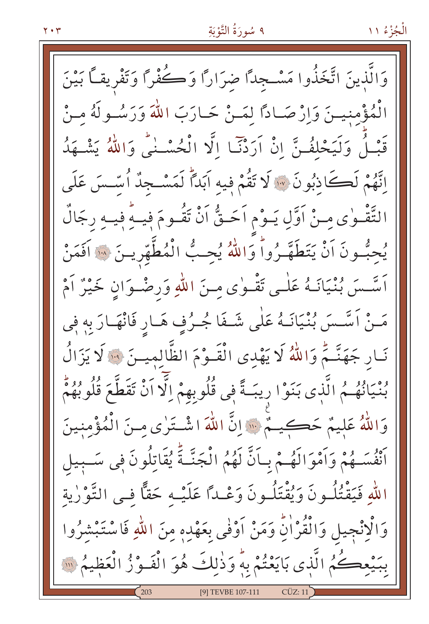#### ٩ سُورَةُ التَّوْبَةِ

وَالَّذينَ اتَّخَذُوا مَسْـجلاً ضرَارًا وَكُفْرًا وَتَفْرِيقاً بَيْنَ الْمُؤْمِنيــنَ وَإِرْصَـادًا لِمَــنْ حَـارَبَ اللّٰهَ وَرَسُــولَهُ مِـنْ قَبْلُ وَلَيَحْلِفُنَّ إِنْ اَرَدْنَا إِلَّا الْحُسْنَى وَاللَّهُ يَشْـهَدُ إِنَّهُمْ لَكَاذِبُونَ ۞ لَا تَقُمْ فِيهِ آبَداً لَمَسْـجِدٌ أُسَّـسَ عَلَمٍ التَّقْـوٰي مِـنْ اَوَّلِ يَـوْمِ اَحَـقُّ اَنْ تَقُـومَ فِيـهٍ فِيـهِ رجَالٌ يُحبُّسُونَ اَنْ يَتَطَهَّـرُواْ وَاللّهُ يُحِـبُّ الْمُطَّهِّرِيــنَ ۞ اَفَمَنْ اَسَّسَ بُنْيَانَـهُ عَلٰـى تَقْـوٰى مِـنَ اللهِ وَرصْـوَانِ خَيْرٌ اَمْ مَـنْ اَسَّـسَ بُنْيَانَـهُ عَلٰى شَـفَا جُـرُفِ هَـارِ فَانْهَـارَ بِهِ فِي نَـار جَهَنَّـمُ وَاللَّهُ لَا يَهْدى الْقَـوْمَ الظَّالميـنَ ۞ لَا يَزَالُ بُنْيَانُهُمُ الَّذِى بَنَوْا رِيبَةً فِي قُلُوبِهِمْ اِلَّا اَنْ تَقَطَّعَ قُلُوبُهُمْ وَاللَّهُ عَلِيمٌ حَكِيمٌ ﴾ [لَّ اللهَ اشْتَرٰى مِنَ الْمُؤْمِنينَ أَنْفُسَـهُمْ وَأَمْوَالَهُـمْ بِـأَنَّ لَهُمُ الْجَنَّـةَ يُقَاتِلُونَ فِي سَـبِيلِ اللهِ فَيَقْتُلُونَ وَيُقْتَلُونَ وَعْـدًا عَلَيْـهِ حَقًّا فـى التَّوْرٰية وَالْإِنْجِيلِ وَالْقُرْاٰنِّ وَمَنْ أَوْفٰى بِعَهْدِهِ مِنَ اللّٰهِ فَاسْتَبْشَرُوا بِبَيْعِكُمُ الَّذِي بَايَعْتُمْ بِهِ وَذٰلِكَ هُوَ الْفَوْزُ الْعَظِيمُ ۚ ﴾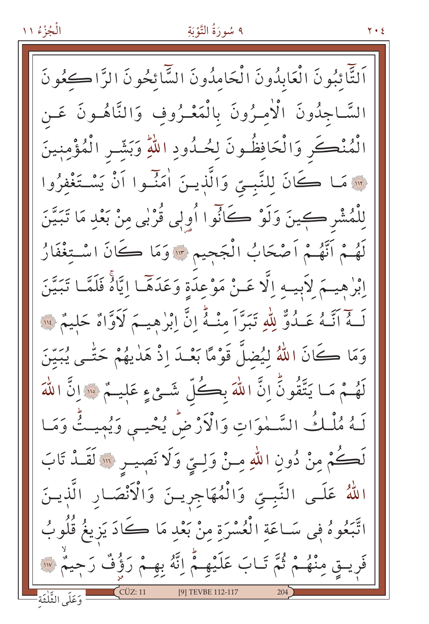### ٩ سُورَةُ التَّوْبَةِ

۲۰٤

اَلتَّأْئِبُونَ الْعَابِدُونَ الْحَامِدُونَ السَّائِحُونَ الرَّاكِجُونَ السَّاجِدُونَ الْأَمِيرُونَ بِالْمَعْيرُوفِ وَالنَّاهُـونَ عَـن الْمُنْكَرِ وَالْحَافِظُونَ لِحُـدُودِ اللّهِ وَبَشّـرِ الْمُؤْمِنِينَ · مَا كَانَ لِلنَّبِيِّ وَالَّذِينَ اٰمَنَّـوا اَنْ يَسْتَغْفِرُوا لِلْمُشْرِ كِينَ وَلَوْ كَانُوا أُوِلِي قُرْبِي مِنْ بَعْدِ مَا تَبَيَّنَ لَهُـمْ اَنَّهُـمْ اَصْحَابُ الْجَحِيمِ ۞ وَمَا كَانَ اسْتِغْفَارُ إِبْرٰهِيهَمْ لِأَبِيهِ إِلَّا عَـنْ مَوْعِدَةٍ وَعَدَهَا إِيَّاهُ فَلَمَّا تَبَيَّنَ لَـهُ اَنَّـهُ عَـدُوٌّ لِلّهِ تَبَرَّاً مِنْـهُ إِنَّ إِبْرٰهِيـمَ لَأَوَّاهُ حَلِيمٌ \*\* وَمَا كَانَ اللَّهُ لِيُضلَّ قَوْمًا بَعْـدَ إِذْ هَدٰيهُمْ حَتَّـى يُبَيِّنَ لَهُـمْ مَـا يَتَّقُونَّ إِنَّ اللَّهَ بِكُلِّ شَـئٍ عِ عَلِيـمٌ ﴿ إِنَّ اللَّهَ لَـهُ مُلْـكُ السَّـمٰوَاتِ وَالْأَرْضِّ يُحْيـىِ وَيُمِيتُّ وَمَـا لَكُمْ مِنْ دُونِ اللّٰهِ مِـنْ وَلِـيِّ وَلَا نَصِيـوِ ۚ ٱلْقَـدْ تَابَ اللَّهُ عَلَى النَّبِيِّ وَالْمُهَاجِرِينَ وَالْأَنْصَارِ الَّذِينَ اتَّبَعُوهُ فِي سَـاعَةِ الْعُسْرَةِ مِنْ بَعْدِ مَا ڪَادَ يَزِيغُ قُلُوبُ فَرِيــقِ مِنْهُــمْ ثُمَّ تَـابَ عَلَيْهِــمُّ اِنَّهُ بِهِــمْ رَؤُفٌ رَجِيمٌ \*\* [9] TEVBE 112-117 وَعَلَى الثَّلْثَةِ -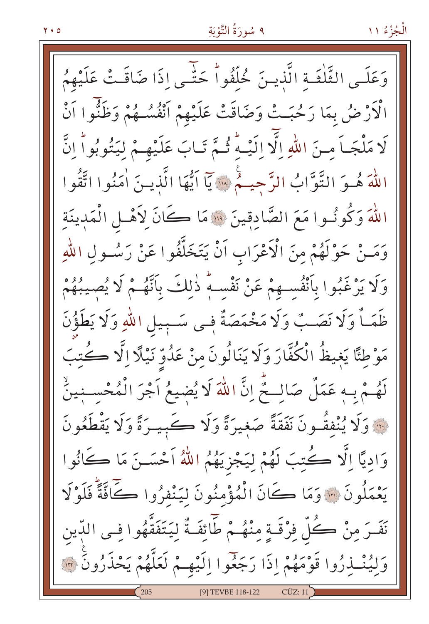# ٩ سُورَةُ التَّوْبَةِ

وَعَلَـى الثَّلْثَـةِ الَّذيـنَ خُلَّفُواْ حَتَّـى إِذَا ضَاقَـتْ عَلَيْهِمُ الْأَرْضُ بِمَا رَحُبَتْ وَضَاقَتْ عَلَيْهِمْ أَنْفُسُـهُمْ وَظَنُّوا أَنْ لَا مَلْجَباً منَ اللّهِ الَّا الَيْـهُ ثُـمَّ تَـابَ عَلَيْهِـمْ لِيَتُوبُواً إِنَّ اللَّهَ هُـوَ التَّوَّابُ الرَّحِيـمُ « يَآ اَيُّهَا الَّذِيـنَ اٰمَنُوا اتَّقُوا اللَّهَ وَكُونُوا مَعَ الصَّادِقِينَ ۚ ۚ وَ مَا كَانَ لِأَهْلِ الْمَدِينَةِ وَمَـنْ حَوْلَهُمْ مِنَ الْأَعْرَابِ اَنْ يَتَخَلَّفُوا عَنْ رَسُـولِ اللّهِ وَلَا يَرْغَبُوا بِأَنْفُسِهِمْ عَنْ نَفْسِهِ ذٰلِكَ بِأَنَّهُـمْ لَا يُصِيبُهُمْ ظَمَأٌ وَلَا نَصَبٌ وَلَا مَخْمَصَةٌ فِي سَبِيلِ اللَّهِ وَلَا يَطَؤُنَ مَوْطِئًا يَغِيظُ الْكُفَّارَ وَلَا يَنَالُونَ مِنْ عَدُوِّ نَيْلًا اِلَّا كُتِبَ لَهُمْ بِهِ عَمَلٌ صَالِحٌ إِنَّ اللَّهَ لَا يُضِيعُ آجْرَ الْمُحْسِنِينُ مَّةً وَلَا يُنْفَقُّونَ نَفَقَةً صَغِيرَةً وَلَا كَبِيرَةً وَلَا يَقْطَعُونَ وَادِيًا إِلَّا كُتِبَ لَهُمْ لِيَجْزِيَهُمُ اللَّهُ اَحْسَــنَ مَا كَانُوا يَعْمَلُونَ ۞ وَمَا كَانَ الْمُؤْمِنُونَ لِيَنْفِرُوا كَافَّةً فَلَوْلَا نَفَسَ مِنْ كُلِّ فِرْقَـةٍ مِنْهُـمْ طَّائِفَـةٌ لِيَتَفَقَّهُوا فـى الدّين وَلِيُنْـذِرُوا قَوْمَهُمْ إِذَا رَجَعُوا إِلَيْهِـمْ لَعَلَّهُمْ يَحْذَرُونَ ۞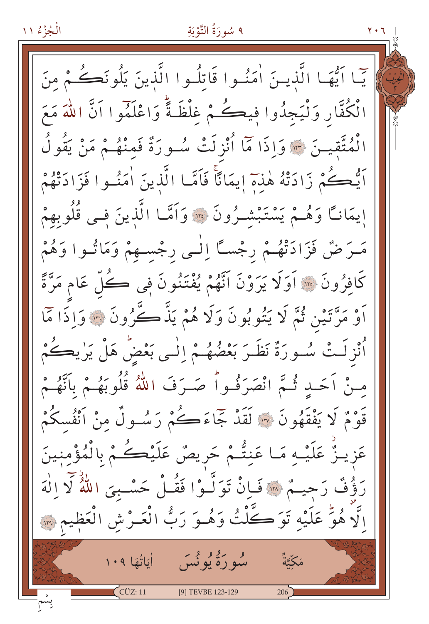الْجُزْءُ ١١ ٩ سُورَةُ التَّوْبَةِ يّما ايُّهَا الَّذينَ اٰمَنُوا قَاتِلُوا الَّذينَ يَلُونَكُمْ مِنَ الْكُفَّارِ وَلْيَجِدُوا فِيكُمْ غِلْظَةً وَاعْلَمُوا اَنَّ اللَّهَ مَعَ الْمُتَّقِيـنَ \* وَإِذَا مَّا أُنْزِلَتْ سُـورَةٌ فَمِنْهُـمْ مَنْ يَقُولُ اَيُّكُمْ زَادَتْهُ هٰذِمَ إيمَانًا فَاَمَّـا الَّذِينَ اٰمَنُـوا فَزَادَتْهُمْ إيمَانًا وَهُـمْ يَسْتَبْشَـرُونَ ۞ وَاَمَّـا الَّذِينَ فِـي قُلُوبِهِمْ مَـرَضٌ فَزَادَتْهُـمْ رِجْسـًا اِلْـي رِجْسـهمْ وَمَاتُـوا وَهُمْ كَافِرُونَ ۞ اَوَلَا يَرَوْنَ انَّهُمْ يُفْتَنُونَ فِي ڪُلِّ عَامٍ مَرَّةً أَوْ مَرَّتَيْنِ ثُمَّ لَا يَتُوبُونَ وَلَا هُمْ يَذَّكَّرُونَ ۞ وَاذَا مَّا أُنْزِلَتْ سُورَةٌ نَظَـرَ بَعْضُهُـمْ اِلْـي بَعْضٌ هَلْ يَرْيِكُمْ منْ أَحَبْ ثُمَّ انْصَرَفُواْ صَـرَفَ اللَّهُ قُلُوبَهُـمْ بِأَنَّهُـمْ قَوْمٌ لَا يَفْقَهُونَ ۞ لَقَدْ جَمَاءَكُمْ رَسُـولٌ مِنْ أَنْفُسكُمْ عَزِيـزٌ عَلَيْـهِ مَـا عَنِتُّـمْ حَرِيصٌ عَلَيْكُـمْ بِالْمُؤْمِنِينَ رَؤُفٌ رَحِيمٌ \* فَإِنْ تَوَلَّـوْا فَقُـلْ حَسْـبِيَ اللَّهُ لَا إِلٰهَ الَّا هُوٍّ عَلَيْهِ تَوَكَّلْتُ وَهُوَ رَبُّ الْعَـرْشِ الْعَظِيمِ ۞ و گرو وي<br>سوره يونس أَمَاتُعَا ١٠٩  $C\ddot{C}Z:11$ [9] TEVBE 123-129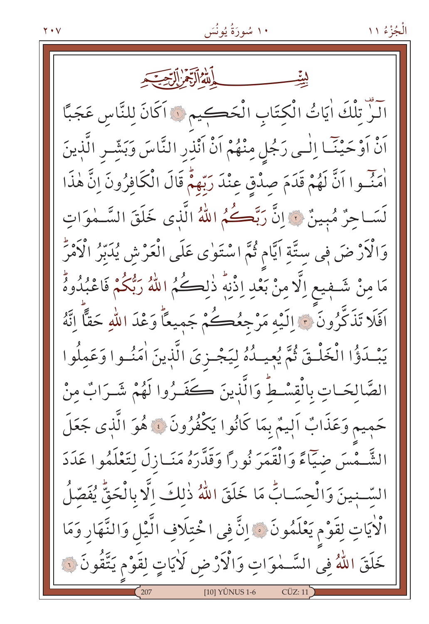آلزٌ تِلْكَ اٰيَاتُ الْكِتَابِ الْحَكِيمِ ۞ اَكَانَ لِلنَّاسِ عَجَبًا أَنْ أَوْحَيْنَـا اِلْـى رَجُلٍ مِنْهُمْ أَنْ أَنْذِرِ النَّاسَ وَبَشِّـرِ الَّذِينَ أَمَنَّـوا اَنَّ لَهُمْ قَدَمَ صِدْقٍ عِنْدَ رَبِّهِمْ قَالَ الْكَافِرُونَ إِنَّ هٰذَا لَسَـاحِرٌ مُبِينٌ لِّهَ إِنَّ رَبَّكُمُ اللّهُ الَّذِي خَلَقَ السَّـمٰوَات وَالْكَرْضَ فِي سِتَّةِ اَيَّامٍ ثُمَّ اسْتَوٰى عَلَى الْعَرْشِ يُدَبِّرُ الْكَمْرَ مَا مِنْ شَـٰفٖيع اِلَّا مِنْ بَعْدِ اِذْنِهٖ ذٰلِڪُمُ اللَّهُ رَبُّكُمْ فَاعْبُدُوهُ اَفَلَا تَذَكَّرُونَ ۞ اِلَيْهِ مَرْجِعُكُمْ جَمِيعًاْ وَعْدَ اللَّهِ حَقًّا اِنَّهُ يَبْدَؤُا الْخَلْقَ ثُمَّ يُعِيدُهُ لِيَجْزِيَ الَّذِينَ اٰمَنُوا وَعَمِلُوا الصَّالِحَـاتِ بِالْقِسْـطِّ وَالَّذِينَ كَفَـرُوا لَهُمْ شَـرَابٌ مِنْ حَمِيم وَعَذَابٌ اَلِيمٌ بِمَا كَانُوا يَكْفُرُونَ ﴾ هُوَ الَّذِي جَعَلَ الشَّـمْسَ ضِيَّاءً وَالْقَمَرَ نُورًا وَقَدَّرَهُ مَنَــازلَ لِتَعْلَمُوا عَدَدَ السَّنِينَ وَالْجِسَـابِّ مَا خَلَقَ اللَّهُ ذٰلِكَ اِلَّا بِالْحَقِّ يُفَصّلُ الْأَيَاتِ لِقَوْمٍ يَعْلَمُونَ ۞ إِنَّ فِي اخْتِلَافِ الَّيْلِ وَالنَّهَارِ وَمَا خَلَقَ اللَّهُ فِي السَّــمٰوَاتِ وَالْأَرْضِ لَأَيَاتٍ لِقَوْمٍ يَتَّقُونَ ۞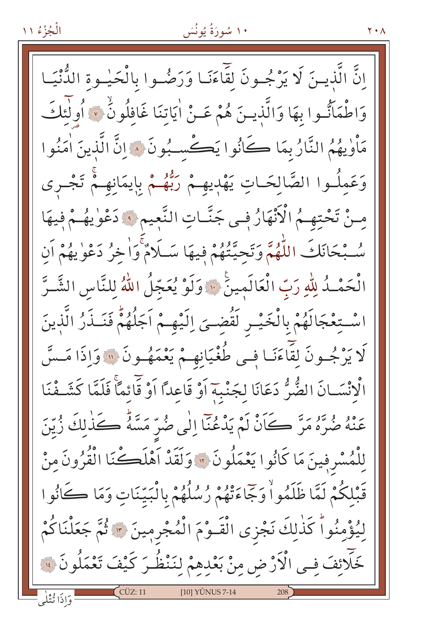اِنَّ الَّذِينَ لَا يَرْجُـونَ لِقَاءَنَـا وَرَضُـوا بِالْحَيْـوةِ الدُّنْيَـا وَاطْمَاتٌوا بِهَا وَالَّذِينَ هُمْ عَـنْ اٰيَاتِنَا غَافِلُونَٰ ۞ أُولٰئِكَ مَأْوٰيهُمُ النَّارُ بِمَا كَانُوا يَكْسِبُونَ ۞ إِنَّ الَّذِينَ اٰمَنُوا وَعَمِلُـوا الصَّالِحَـاتِ يَهْدِيهِـمْ رَبُّهُـمْ بِايمَانِهِـمْ تَجْـرى منْ تَحْتهِمُ الْأَنْهَارُ فِي جَنَّاتِ النَّعِيمِ ۞ دَعْوٰيهُمْ فِيهَا سُّبْحَانَكَ اللَّهُمَّ وَتَحِيَّتُهُمْ فِيهَا سَلَامٌ وَاخِرُ دَعْوٰيهُمْ اَن الْحَمْـدُ لِلّهِ رَبّ الْعَالَمِينَ ۚ وَلَوْ يُعَجّلُ اللّهُ لِلنَّاسِ الشَّـرَّ اسْتِعْجَالَهُمْ بِالْخَيْـرِ لَقُضِـيَ اِلَيْهِـمْ اَجَلُهُمْۚ فَنَـذَرُ الَّذِينَ لَا يَرْجُـونَ لِقَاءَنَـا فِـي طُغْيَانِهِـمْ يَعْمَهُـونَ ۞ وَإِذَا مَـسَّ الْإِنْسَانَ الضُّرُّ دَعَانَا لِجَنْبِهِ أَوْ قَاعِدًا أَوْ قَائِمًا فَلَمَّا كَشَـفْنَا عَنْهُ صُرَّهُ مَرَّ كَانْ لَمْ يَدْعُنَا إِلَٰى صُرِّ مَسَّهٌ كَذَٰلِكَ زُيِّنَ لِلْمُسْرِفِينَ مَا كَانُوا يَعْمَلُونَ ۞ وَلَقَدْ أَهْلَكْنَا الْقُرُونَ مِنْ قَبْلِكُمْ لَمَّا ظَلَمُواْ وَجَاءَتْهُمْ رُسُلُهُمْ بِالْبَيِّنَاتِ وَمَا كَانُوا لِيُؤْمِنُواْ كَذٰلِكَ نَجْزِي الْقَـوْمَ الْمُجْرِمِينَ ۞ ثُمَّ جَعَلْنَاكُمْ خَلَائِفَ فِـي الْأَرْضِ مِنْ بَعْدِهِمْ لِنَنْظُـرَ كَيْفَ تَعْمَلُونَ ۞ [10] YÛNUS 7-14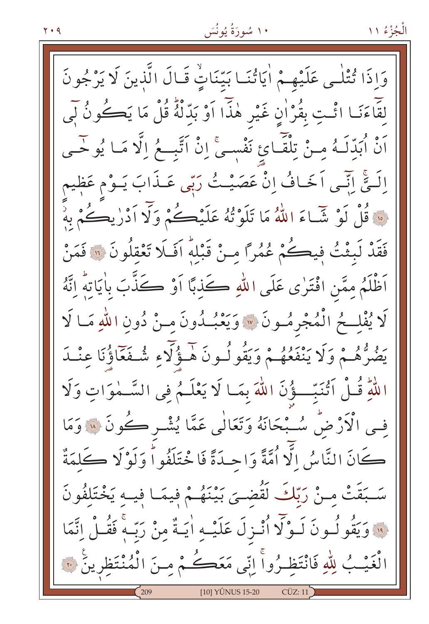وَإِذَا تُتْلَى عَلَيْهِـمْ أَيَاتُنَـا بَيِّنَاتٍّ قَـالَ الَّذِينَ لَا يَرْجُونَ لِقَاءَنَـا ائْتِ بِقُرْانٍ غَيْرِ هٰذَا اَوْ بَدِّلْهُ قُلْ مَا يَڪُونُ لَبِي أَنْ أُبَدِّلَـهُ مِـنْ تِلْقَـائِ نَفْسِـيٌّ إِنْ أَتَّبِــعُ إِلَّا مَـا يُوحَــي اِلَــةٌ ابِّــّـى اَخَــافُ اِنْ عَصَيْــتُ رَبِّى عَــذَابَ يَــوْم عَظِيمٍ<br>\* قُلْ لَوْ شَـاءَ اللهُ مَا تَلَوْثُهُ عَلَيْـكُمْ وَلَا اَدْرٰيڪُمْ بِهِ ۚ فَقَدْ لَبِثْتُ فِيكُمْ عُمُرًا منْ قَبْلَهُ اَفَلَا تَعْقِلُونَ ۞ فَمَنْ أَظْلَمُ مِمَّنِ افْتَرٰى عَلَى اللهِ كَذبًا أَوْ كَذَّبَ بِأَيَاتِهُ اتَّهُ لَا يُفْلِحُ الْمُجْرِمُونَ ۞ وَيَعْبُدُونَ مِنْ دُونِ اللَّهِ مَـا لَا يَصُرُّهُمْ وَلَا يَنْفَعُهُمْ وَيَقُولُونَ هَـؤُلَّاءِ شُـفَعَّاؤُنَا عِنْـدَ اللَّهِ قُـلْ أَتُنَبِّـــؤُنَ اللَّهَ بِمَـا لَا يَعْلَـمُ فِي السَّــمٰوَاتِ وَلَا في الْأَرْضُ سُبْحَانَهُ وَتَعَالَٰي عَمَّا يُشْـرِ كُونَ « وَمَا كَانَ النَّاسُ الَّا اُمَّةً وَاحِدَةً فَا خْتَلَفُواْ وَلَوْلَا كَلِمَةٌ سَـبَقَتْ مـنْ رَبّكَ لَقُضـىَ بَيْنَهُـمْ فِيمَـا فِيـهِ يَخْتَلِفُونَ فَ وَيَقُولُونَ لَـوْلَا أُنْـزِلَ عَلَيْـهِ أَيَـةٌ مِنْ رَبُّـهِ فَقُـلْ إِنَّمَا لْغَيْبُ لِلَّهِ فَانْتَظِرُواْ إِنِّي مَعَكُمْ مِنَ الْمُنْتَظِرِينَ ۞ [10] YÛNUS 15-20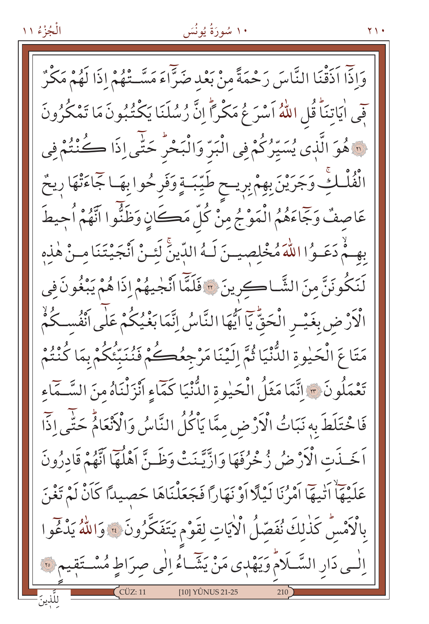# ۱۰ سُورَةُ يُونُسَ

وَاذَا اَذَقْنَا النَّاسَ رَحْمَةً منْ بَعْدِ صَرَّاءَ مَسَّـتْهُمْ إِذَا لَهُمْ مَكْرٌ فِي اٰيَاتِنَاؕ قُلِ اللّٰهُ اَسْرَ عُ مَكْراًۗ اِنَّ رُسُلَنَا يَكْتُبُونَ مَا تَمْكُرُونَ لَّهَ هُوَ الَّذِي يُسَيِّرُكُمْ فِي الْبَرِّ وَالْبَحْرِ حَتَّى إِذَا كُنْتُمْ فِي انْفُلْكِّ وَجَرَيْنَ بِهِمْ بِرِيـحِ طَيِّبَـةٍ وَفَرِحُوا بِهَـاجَاءَتْهَا رِيحٌ عَاصِفٌ وَجَّاءَهُمُ الْمَوْجُ مِنْ كُلِّ مَكَانٍ وَظَنُّوا اتَّهُمْ أُحِيطَ بِهِـمْ دَعَـوُا اللّٰهَ مُخْلِصِيـنَ لَـهُ الدِّينَّ لَئِـنْ اَنْجَيْتَنَا مِـنْ هٰذِهِ لَنَكُونَنَّ مِنَ الشَّاكِرِينَ \* فَلَمَّا اَنْجٰيهُمْ إِذَا هُمْ يَبْغُونَ في الْأَرْضِ بِغَيْسِ الْحَقِّ يَا ايُّهَا النَّاسُ إِنَّمَا بَغْيُكُمْ عَلَى اَنْفُسكُمْ مَتَاعَ الْحَيْوةِ الدُّّنْيَا ثُمَّ اِلَيْنَا مَرْجِعُكُمْ فَنُنَبِّئُكُمْ بِمَا كُنْتُمْ تَعْمَلُونَ \* إِنَّمَا مَثَلُ الْحَيْوةِ الدُّنْيَا كَمَّاءِ أَنْزَلْنَاهُ مِنَ السَّـمَّاءِ فَاخْتَلَطَ بِهِ نَبَاتُ الْأَرْضِ مِمَّا يَأْكُلُ النَّاسُ وَالْأَنْعَامُ حَتَّى اذَّا اَخَـذَتِ الْأَرْضُ زُخْرُفَهَا وَازَّيَّـنَتْ وَظَـنَّ اَهْلُهَا اتَّهُمْ قَادِرُونَ عَلَيْهَاْ اَنْيِهَا اَمْرُنَا لَيْلًا اَوْ نَهَارًا فَجَعَلْنَاهَا حَصيدًا كَانْ لَمْ تَغْنَ بِالْكَمْسِ كَذٰلِكَ نُفَصِّلُ الْكِيَاتِ لِقَوْمٍ يَتَفَكَّرُونَ ﴾ وَاللّهُ يَدْغُوا الْسِي دَارِ السَّــلَامُ وَيَهْدِي مَنْ يَشَّـاءُ اِلْمِي صِرَاطٍ مُسْــتَقِيمٍ ۞ [10] YÛNUS 21-25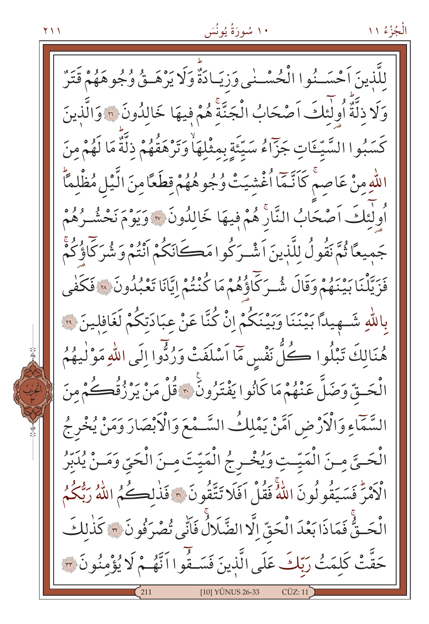لِلَّذِينَ اَحْسَـٰنُوا الْحُسْـٰنِي وَزِيَـادَةٌ وَلَا يَرْهَــِقْ وُجُوهَهُمْ قَتَرٌ وَلَا ذلَّةً أُولَئِكَ آصْحَابُ الْجَنَّةَ هُمْ فِيهَا خَالِدُونَ ٢٠ وَالَّذِينَ كَسَبُوا السَّيِّـٵتِ جَزَّاءُ سَيِّئَةٍ بِمِثْلِهَاْ وَتَرْهَقُهُمْ ذِلَّةً مَا لَهُمْ مِنَ اللّٰهِ مِنْ عَاصِمْ كَاَنَّمَا اُغْشِيَتْ وُجُوهُهُمْ قِطَعًا مِنَ الَّيْلِ مُظْلِمًّا أُولٰئِكَ اَصْحَابُ النَّارَ هُمْ فِيهَا خَالِدُونَ ۞ وَيَوْمَ نَحْشُـرُهُمْ جَمِيعًا ثُمَّ نَقُولُ للَّذينَ اَشْـرَكُوا مَكَانَكُمْ اَنْتُمْ وَشُرَكَاؤُكُمْ فَزَيَّلْنَا بَيْنَهُمْ وَقَالَ شُـرَكَّاؤُهُمْ مَا كُنْتُمْ إِيَّانَا تَعْبُلُونَ ۞ فَكَفٰى بِاللَّهِ شَــهِيداً بَيْنَنَا وَبَيْنَكُمْ إِنْ كُنَّا عَنْ عِبَادَتِكُمْ لَغَافِلِينَ ۞ هُنَالِكَ تَبْلُوا كُلُّ نَفْسٍ مَاۤاَسْلَفَتْ وَرُدُّوا إِلَى اللّهِ مَوْلٰيهُمُ الْحَـقّ وَضَلَّ عَنْهُمْ مَا كَانُوا يَفْتَرُونَ \* قُلْ مَنْ يَرْزُقُكُمْ مِنَ السَّمَّاءِ وَالْأَرْضِ اَمَّنْ يَمْلِكُ السَّـمْعَ وَالْأَبْصَارَ وَمَنْ يُخْرِجُ الْحَيَّ مِنَ الْمَيِّتِ وَيُخْرِجُ الْمَيِّتَ مِنَ الْحَيِّ وَمَنْ يُدَبِّرُ الْأَمْرَ فَسَيَقُو لُونَ اللَّهُ فَقُلْ أَفَلَا تَتَّقُونَ ۞ فَذٰلِكُمُ اللَّهُ رَبُّكُمُ الْحَـقٌّ فَمَاذَا بَعْدَ الْحَقِّ الَّا الضَّلَالُ فَأَنِّي تُصْرَفُونَ ٣ كَذٰلكَ حَقَّتْ كَلِمَتُ رَبَّكَ عَلَى الَّذِينَ فَسَـفُوا اَنَّهُمْ لَا يُؤْمِنُونَ . [10] YÛNUS 26-33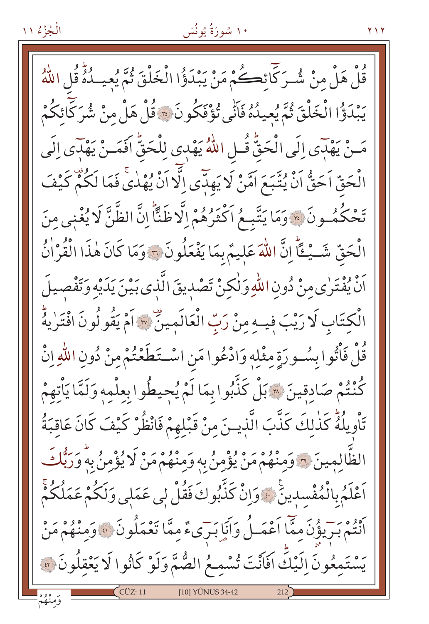۱۰ سُورَةُ يُونُسَ

**Y** 1 Y

قُلْ هَلْ مِنْ شُـرَكَّانَكُمْ مَنْ يَبْدَؤُا الْخَلْقَ ثُمَّ يُعِيـدُهُ قُلِ اللَّهُ يَبْدَؤُا الْخَلْقَ ثُمَّ يُعِيدُهُ فَأَنِّي تُؤْفَكُونَ \* قُلْ هَلْ منْ شُرَكَّائِكُمْ مَـنْ يَهْدَى إِلَى الْحَقُّ قُـلِ اللَّهُ يَهْدِى لِلْحَقُّ افَمَـنْ يَهْدَى إِلَى الْحَقِّ اَحَقُّ اَنْ يُتَّبَعَ اَمَّنْ لَا يَهلّنَّى اِلَّا اَنْ يُهْدٰى فَمَا لَكُمْ كَيْفَ تَحْكُمُونَ ۞ وَمَا يَتَّبِعُ اَكْثَرُهُمْ إِلَّا ظَنًّا إِنَّ الظَّنَّ لَا يُغْنِي مِنَ الْحَقِّ شَــيْــقَّاً إِنَّ اللّٰهَ عَلِيمٌ بِمَا يَفْعَلُونَ ۞ وَمَا كَانَ هٰذَا الْقُرْاٰنُ رَّهُ وَفْتَرٰى مِنْ دُونِ اللّهِ وَلٰكِنْ تَصْدِيقَ الَّذِي بَيْنَ يَدَيْهِ وَتَفْصِيلَ الْكِتَابِ لَا رَيْبَ فِيهِ مِنْ رَبِّ الْعَالَمِينِّ ۞ اَمْ يَقُولُونَ افْتَرٰيهُ قُلْ فَأْتُوا بِسُورَةٍ مِثْلِهِ وَادْعُوا مَنِ اسْتَطَعْتُمْ مِنْ دُونِ اللّٰهِ إِنْ كُنْتُمْ صَادقينَ ۞ بَلْ كَذَّبُوا بِمَا لَمْ يُحِيطُوا بِعِلْمِهِ وَلَمَّا يَأْتِهِمْ تَأْوِيلُهُ كَذٰلِكَ كَذَّبَ الَّذِينَ مِنْ قَبْلِهِمْ فَانْظُرْ كَيْفَ كَانَ عَاقِبَةُ الظَّالِمِينَ ٣ وَمِنْهُمْ مَنْ يُؤْمِنُ بِهِ وَمِنْهُمْ مَنْ لَا يُؤْمِنُ بِهِ وَرَبُّكَ اَعْلَمُ بِالْمُفْسِدِينَ ۚ وَإِنْ كَذَّبُوكَ فَقُلْ لِي عَمَلِي وَلَكُمْ عَمَلُكُمْ كَ وَوَوْحٍ مِنْ مَعَاً اَعْمَـلُ وَاَنَا بَيْرَىءٌ مِمَّا تَعْمَلُونَ ۞ وَمِنْهُمْ مَنْ يَسْتَمِعُونَ اِلَيْكَ افَاَنْتَ تُسْمِعُ الصُّمَّ وَلَوْ كَانُوا لَا يَعْقِلُونَ ؟ [10] YÛNUS 34-42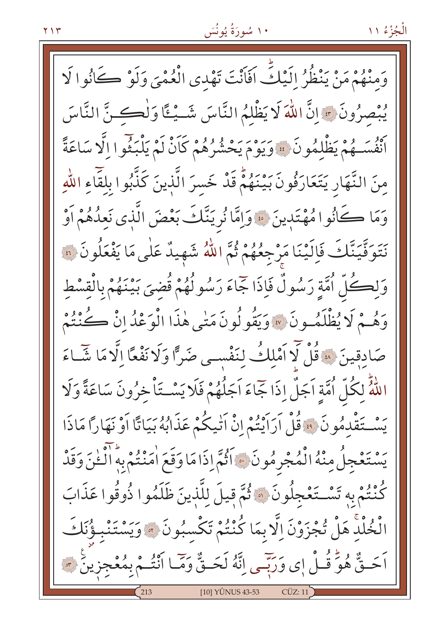وَمِنْهُمْ مَنْ يَنْظُرُ إِلَيْكَ أَفَانْتَ تَهْدِي الْعُمْيَ وَلَوْ كَانُوا لَا يُبْصِرُونَ ﴾ إنَّ اللَّهَ لَا يَظْلَمُ النَّاسَ شَــيْـئًا وَلْڪـنَّ النَّاسَ أَنْفُسَـهُمْ يَظْلِمُونَ ۚ ﴾ وَيَوْمَ يَحْشُرُهُمْ كَاَنْ لَمْ يَلْبَثُوا الَّا سَاعَةً منَ النَّهَارِ يَتَعَارَفُونَ بَيْنَهُمْ قَدْ خَسرَ الَّذِينَ كَذَّبُوا بِلْقَاءِ اللَّهِ وَمَا كَانُوا مُهْتَدِينَ ۞ وَإِمَّا نُرِيَنَّكَ بَعْضَ الَّذِي نَعِدُهُمْ أَوْ نَتَوَفَّيَتَّكَ فَإِلَيْنَا مَرْجِعُهُمْ ثُمَّ اللَّهُ شَهِيدٌ عَلَى مَا يَفْعَلُونَ ۞ وَلِكُلِّ أُمَّةٍ رَسُولٌ فَإِذَا جَمَاءَ رَسُولُهُمْ قُضِيَ بَيْنَهُمْ بِالْقِسْطِ وَهُمْ لَا يُظْلَمُونَ ۞ وَيَقُولُونَ مَتْبِي هٰذَا الْوَعْدُ إِنْ كُنْتُمْ صَادقِينَ لِهَ قُلْ لَا أَمْلِكُ لِنَفْسِي صَرًّا وَلَا نَفْعًا إِلَّا مَا شَـاءَ اللَّهُ لِكُلِّ أُمَّةٍ اَجَلٌ إِذَا جَمَاءَ اَجَلُهُمْ فَلَا يَسْتَأْخِرُونَ سَاعَةً وَلَا يَسْتَقْدِمُونَ ۚ وَقُلْ اَرَاَيْتُمْ إِنْ اَتْيِكُمْ عَذَابُهُ بَيَاتًا اَوْ نَهَاراً مَاذَا يَسْتَعْجِلُ مِنْهُ الْمُجْرِمُونَ ﴾ اَثْمَ إذَا مَا وَقَعَ اٰمَنْتُمْ بِهِ الْخَنَ وَقَدْ كُنْتُمْ بِهِ تَسْتَغْجِلُونَ ۞ ثُمَّ قِيلَ لِلَّذِينَ ظَلَمُوا ذُوقُوا عَذَابَ الْخُلْدِ هَلْ تُجْزَوْنَ اِلَّا بِمَا كُنْتُمْ تَكْسِبُونَ ۞ وَيَسْتَنْبِؤُنَكَ اَحَــةٌ هُوَّ قُــلْ إِي وَرَبَّــي إِنَّهُ لَحَــةٌ وَمَّــا أَنْتُــمْ بِمُعْجزِينَ ۞ [10] YÜNUS 43-53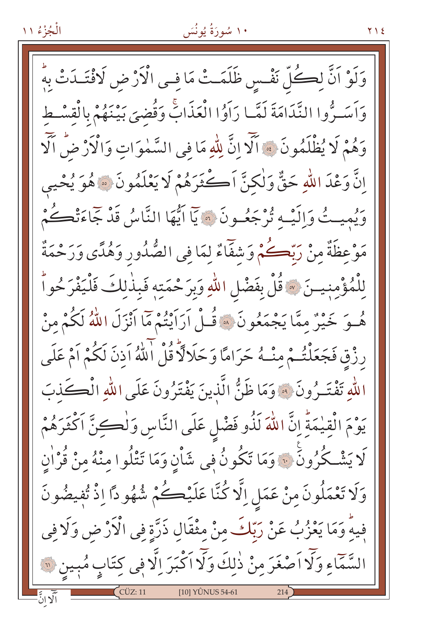### ۱۰ سُورَةُ يُونُسَ

**Y** 1 2

وَلَوْ اَنَّ لِكُلِّ نَفْسِ ظَلَمَتْ مَا فِي الْأَرْضِ لَافْتَـٰدَتْ بِهُ وَاَسَتُرُّوا النَّدَامَةَ لَمَّا رَاَوُا الْعَذَابِّ وَقُضِيَ بَيْنَهُمْ بِالْقِسْطِ وَهُمْ لَا يُظْلَمُونَ ﴾ ٱلَّا إِنَّ لِلَّهِ مَا فِى السَّمٰوَاتِ وَالْآرْ ضْ الْآ إِنَّ وَعْدَ اللَّهِ حَقٌّ وَلٰكنَّ أَكْثَرَهُمْ لَا يَعْلَمُونَ ۞ هُوَ يُحْيِي وَيُمِيتُ وَإِلَيْهِ تُرْجَعُونَ ۞ يَاۤ اَيُّهَا النَّاسُ قَدْ جَاءَتْكُمْ مَوْعِظَةٌ مِنْ رَبِّكُمْ وَشْفَاءٌ لِمَا فِي الصُّدُورِ وَهُدًى وَرَحْمَةٌ لِلْمُؤْمِنِيتَ ﴾ قُلْ بِفَضْلِ اللّهِ وَبِرَحْمَتِهِ فَبِذٰلِكَ فَلْيَفْرَحُواْ هُــوَ خَيْرٌ مِمَّا يَجْمَعُونَ ۞ قُــلْ اَرَاَيْتُمْ مَّا اَنْزَلَ اللَّهُ لَكُمْ مِنْ رِزْقِ فَجَعَلْتُـمْ مِنْـهُ حَرَامًا وَحَلَالَا قُلْ اللَّهُ اَذِنَ لَكُمْ اَمْ عَلَى اللَّهِ تَفْتَـرُونَ ۞ وَمَا ظَنُّ الَّذِينَ يَفْتَرُونَ عَلَى اللَّهِ الْكَـكَذبَ يَوْمَ الْقِيْمَةِّ إِنَّ اللّٰهَ لَذُو فَضْلٍ عَلَى النَّاسِ وَل<del>ٰكِ</del>نَّ اَكْثَرَهُمْ لَا يَشْكُرُونَ ۚ وَمَا تَكُونُ فِي شَأْنِ وَمَا تَتْلُوا منْهُ منْ قُرْاٰنِ وَلَا تَعْمَلُونَ مِنْ عَمَلِ اِلَّا كُنَّا عَلَيْكُمْ شُهُو دًّا اِذْ تُفِيضُونَ فِيهِ وَمَا يَعْزُبُ عَنْ رَبِّكَ مِنْ مِثْقَالِ ذَرَّةٍ فِي الْأَرْضِ وَلَا فِي السَّمَّاءِ وَلَّا اَصْغَرَ مِنْ ذٰلِكَ وَلَّا اَكْبَرَ اِلَّا فِي كِتَابٍ مُبِينٍ ۞ [10] YÜNUS 54-61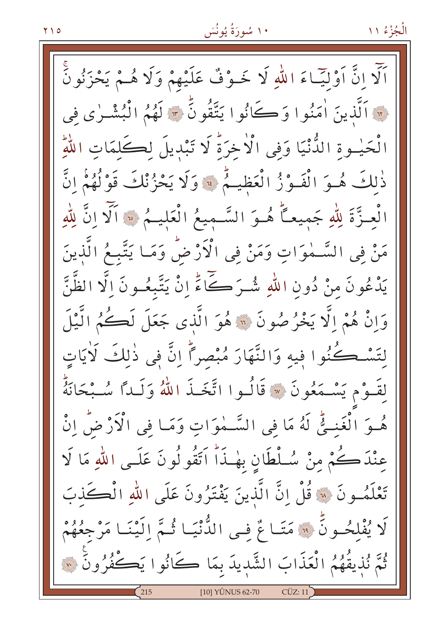اَلَّا إِنَّ اَوْلِيَّـاءَ اللَّهِ لَا خَـوْفٌ عَلَيْهِمْ وَلَا هُـمْ يَحْزَنُونَّ لِهِ ٱلَّذِينَ اٰمَنُوا وَكَانُوا يَتَّقُونَّ لَهُ لَهُمُ الْبُشْرٰى في الْحَيْـوةِ الدُّّنْيَا وَفِي الْأَخِرَةُ لَا تَبْدِيلَ لِكَلِمَاتِ اللَّهِ ذٰلِكَ هُوَ الْفَوْزُ الْعَظِيمُ ﴾ وَلَا يَحْزُنْكَ قَوْلُهُمُ انَّ الْعِـزَّةَ لِلَّهِ جَمِيعاً هُـوَ السَّـمِيعُ الْعَليـمُ ۞ اَلَّا اِنَّ لِلَّهِ مَنْ فِي السَّـٰمٰوَاتِ وَمَنْ فِي الْأَرْضُ وَمَـا يَتَّبِـمُ الَّذينَ يَدْعُونَ مِنْ دُونِ اللَّهِ شُيَرَكَےآءً إِنْ يَتَّبِعُـونَ إِلَّا الظَّنَّ وَإِنْ هُمْ إِلَّا يَخْرُصُونَ ۞ هُوَ الَّذِي جَعَلَ لَكُمُ الَّيْلَ لتَسْكُنُوا فِيهِ وَالنَّهَارَ مُبْصِراً إِنَّ فِي ذٰلِكَ لَأَيَاتٍ لِقَـوْم يَسْـمَعُونَ ۞ قَالُـوا اتَّخَـذَ اللّهُ وَلَـدًّا سُـبْحَانَهُمْ هُوَ الْغَنِيُّ لَهُ مَا فِي السَّمٰوَاتِ وَمَا فِي الْأَرْضُ اِنْ عِنْدَكُمْ مِنْ سُلْطَانِ بِهٰـذَاً اَتَقُولُونَ عَلَـى اللهِ مَا لَا تَعْلَمُونَ ۞ قُلْ انَّ الَّذينَ يَفْتَرُونَ عَلَى اللهِ الْكَحَذِبَ لَا يُفْلِحُـونَ ۚ • مَتَـا عٌ فِـى الدُّنْيَـا ثُـمَّ اِلَيْنَـا مَرْجِعُهُمْ ثُمَّ نُذيقُهُمُ الْعَذَابَ الشَّديدَ بِمَا كَانُوا يَكْفُرُونَ ۞ [10] YÛNUS 62-70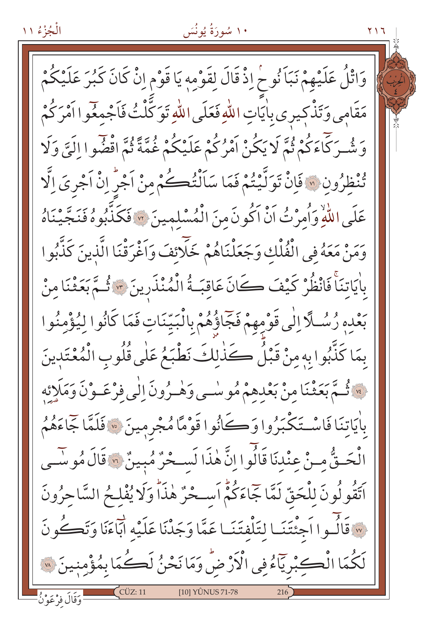الْجُزْءُ ١١

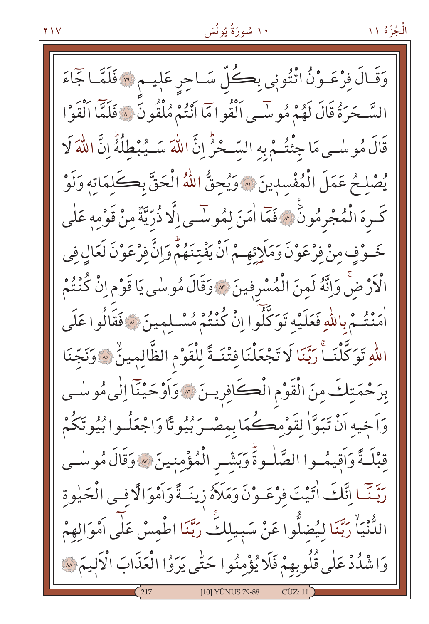وَقَالَ فِرْعَـوْنُ ائْتُونِي بِكُلِّ سَـاحِرِ عَلِيـم ۞ فَلَمَّـا جَمَاءَ السَّحَرَةُ قَالَ لَهُمْ مُوسَّى الْقُوامَا انْتُمْ مُلْقُونَ ۚ ﴾ فَلَمَّا اَلْقَوْا قَالَ مُوسْى مَا جِئْتُمْ بِهِ السِّحْرُ إِنَّ اللَّهَ سَــيُبْطِلُهُۚ إِنَّ اللَّهَ لَا يُصْلِحُ عَمَلَ الْمُفْسِدِينَ ۞ وَيُحقُّ اللَّهُ الْحَقَّ بِكَلِّمَاتِهِ وَلَوْ كَرِهَ الْمُجْرِمُونَ ۞ فَمَّا اٰمَنَ لِمُوسَى اِلَّا ذُرِّيَّةٌ مِنْ قَوْمِهِ عَلَى خَـوْفٍ مِنْ فِرْعَوْنَ وَمَلَإِنْهِـمْ اَنْ يَفْتِنَهُمْ وَإِنَّ فِرْعَوْنَ لَعَالِ فِي الْأَرْضُ وَإِنَّهُ لَمنَ الْمُسْرِفِينَ \* وَقَالَ مُوسٰى يَا قَوْمِ إِنْ كُنْتُمْ اْرِ ۚ ۚ فِي اللَّهِ فَعَلَيْهِ تَوَكَّلُوا اِنْ كُنْتُمْ مُسْلِمِينَ \* فَقَالُوا عَلَى اللهِ تَوَكَّلْنَــاً رَبَّنَا لَا تَجْعَلْنَا فتْنَــةً لِلْقَوْمِ الظَّالِمِينِّ \* وَنَجّنَا بِرَحْمَتِكَ مِنَ الْقَوْمِ الْكَافِرِينَ ۞ وَأَوْحَيْنَا إِلَى مُوسْمِي وَاَخِيهِ اَنْ تَبَوَّاْ لِقَوْمِكُمَا بِمِصْـرَ بُيُوتًا وَاجْعَلُـوا بُيُوتَكُمْ قِبْلَـةً وَاَقِيمُـوا الصَّلْـوةَ وَبَشَّـر الْمُؤْمِنينَ ۞ وَقَالَ مُوسْـى رَبَّنَـا إِنَّكَ اٰتَيْتَ فِرْعَـوْنَ وَمَلَأَهُ زِينَـةً وَاَمْوَالَّا فِـى الْحَيْوة الدُّّنْيَاْ رَبَّنَا لِيُضلُّوا عَنْ سَبِيلِكِّ رَبَّنَا اطْمِسْ عَلٰى اَمْوَالِهِمْ وَاشْدُدْ عَلَى قُلُوبِهِمْ فَلَا يُؤْمِنُوا حَتَّى يَرَوُا الْعَذَابَ الْأَلِيمَ لِهِ [10] YÛNUS 79-88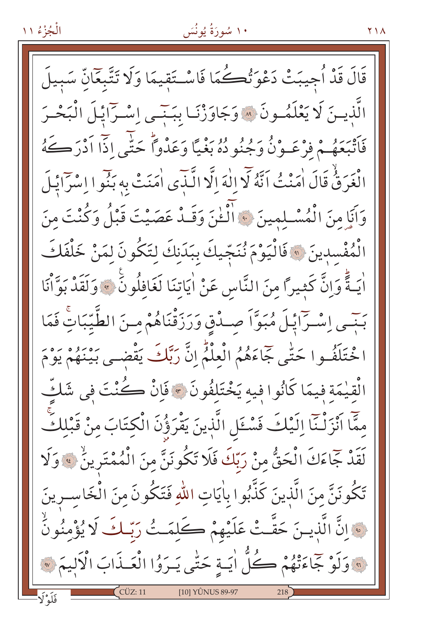۱۰ سُورَةُ يُونُسَ

قَالَ قَدْ أُجِيبَتْ دَعْوَتُكُمَا فَاسْتَقِيمَا وَلَا تَتَّبِعَانّ سَبِيلَ الَّذِينَ لَا يَعْلَمُونَ ۞ وَجَاوَزْنَـا بَبَنَـى إِسْـرَائِـلَ الْبَحْـرَ فَأَتْبَعَهُمْ فِرْعَـوْنُ وَجُنُو دُهُ بَغْيًا وَعَدْواً حَتَّى اذَّا أَدْرَكَهُ الْغَرَقُّ قَالَ اٰمَنْتُ اَنَّهُ لَّا إِلٰهَ إِلَّا الَّذِي اٰمَنَتْ بِهِ بَنُوا إِسْرَايَٰلَ وَأَبَا منَ الْمُسْلِمِينَ ۞ الْخُنَ وَقَلْا عَصَيْتَ قَبْلُ وَكُنْتَ مِنَ الْمُفْسِدِينَ ۞ فَالْيَوْمَ نُنَجِّيكَ بِبَدَنكَ لِتَكُونَ لِمَنْ خَلْفَكَ أَيَـةً وَإِنَّ كَثِيراً مِنَ النَّاسِ عَنْ أَيَاتِنَا لَغَافِلُونَ ﴾ وَلَقَدْ بَوَّأْنَا بَنِّسِي إِسْتِ أَيْلَ مُبَوَّاً صِيدْقٍ وَرَزَقْنَاهُمْ مِنَ الطَّيِّبَاتِ فَمَا ا حْتَلَفُـوا حَتَّى جَاءَهُمُ الْعِلْمُّ إِنَّ رَبَّكَ يَقْضـى بَيْنَهُمْ يَوْمَ الْقيٰمَة فيمَا كَانُوا فيه يَخْتَلِفُونَ ۞ فَإِنْ كُنْتَ فِي شَكٍّ مِمَّا اَنْزَلْنَا اِلَيْكَ فَسْئَلِ الَّذِينَ يَقْرَؤُنَ الْكِتَابَ مِنْ قَبْلِكً بَدَّهُ جَمَاءَكَ الْحَقُّ مِنْ رَبِّكَ فَلَا تَكُونَنَّ مِنَ الْمُمْتَرِينَٰ ﴾ وَلَا تَكُونَنَّ مِنَ الَّذِينَ كَذَّبُوا بِاٰيَاتِ اللّٰهِ فَتَكُونَ مِنَ الْخَاسـرينَ نَّ الَّذِينَ حَقَّتْ عَلَيْهِمْ كَلِمَتُ رَبِّكَ لَا يُؤْمِنُونَ وَلَوْ جَمَاءَتْهُمْ كُلُّ ايَـةٍ حَتَّى يَـرَوُا الْعَـذَابَ الْأَلِيمَ ۞ [10] YÛNUS 89-97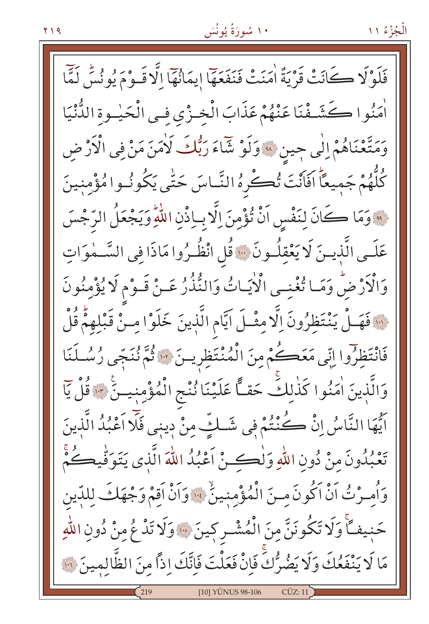فَلَوْلَا كَانَتْ قَرْيَةٌ اٰمَنَتْ فَنَفَعَهَا إِيمَانُهَا إِلَّا قَـوْمَ يُونُسُ لَمَّا أَمَنُوا كَشَـفْنَا عَنْهُمْ عَذَابَ الْخِـزْيِ فِـي الْحَيْـوةِ الدُّنْيَا وَمَتَّعْنَاهُمْ إِلَى جِينِ \* وَلَوْ شَاءَ رَبُّكَ لَاٰمَنَ مَنْ فِي الْأَرْضِ كُلُّهُمْ جَميعاً افَاَنْتَ تُكْرِهُ النَّـاسَ حَتَّى يَكُونُـوا مُؤْمِنينَ . وَمَا كَانَ لِنَفْسِ اَنْ تُؤْمِنَ اِلَّا بِاِذْنِ اللَّهِ وَيَجْعَلُ الرَّجْسَ عَلَـى الَّذِيـنَ لَا يَعْقِلُـونَ ۚ قُل انْظُـرُوا مَاذَا فِي السَّـمٰوَاتِ وَالْأَرْضُ وَمَا تُغْنِى الْأَيَاتُ وَالنُّذُرُ عَـنْ قَـوْمِ لَا يُؤْمِنُونَ ١٠٠ فَهَـلْ يَنْتَظِرُونَ اِلَّا مِثْـلَ ايَّام الَّذِينَ خَلَوْا مِـنْ قَبْلِهِمْ قُلْ فَانْتَظِرُوا اِنِّي مَعَكُمْ مِنَ الْمُنْتَظِرِينَ \* فَمَّ نُنَجِّي رُسُلَنَا وَالَّذِينَ اٰمَنُوا كَذٰلِكَ حَقًّا عَلَيْنَا نُنْجِ الْمُؤْمِنِينَ \* قُلْ يَا اَيُّهَا النَّاسُ إِنْ كُنْتُمْ فِي شَـلِّ مِنْ دِينِي فَلَا اَعْبُدُ الَّذِينَ تَعْبُدُونَ مِنْ دُونِ اللّهِ وَلْكِئْ أَعْبُدُ اللّهَ الَّذِى يَتَوَفِّيكُمْ وَأُمِـرْتُ اَنْ اَكُونَ مِـنَ الْمُؤْمِنِينُ ۚ وَاَنْ اَقِمْ وَجْهَكَ لِلدِّينِ حَنِيفـًا وَلَا تَكُونَنَّ مِنَ الْمُشْـرِكِينَ ۞ وَلَا تَدْ عُ مِنْ دُونِ اللّٰهِ مَا لَا يَنْفَعُكَ وَلَا يَضُرُّكَۚ فَإِنْ فَعَلْتَ فَإِنَّكَ إِذاً مِنَ الظَّالِمِينَ ۞ [10] YI INI IS 98-106